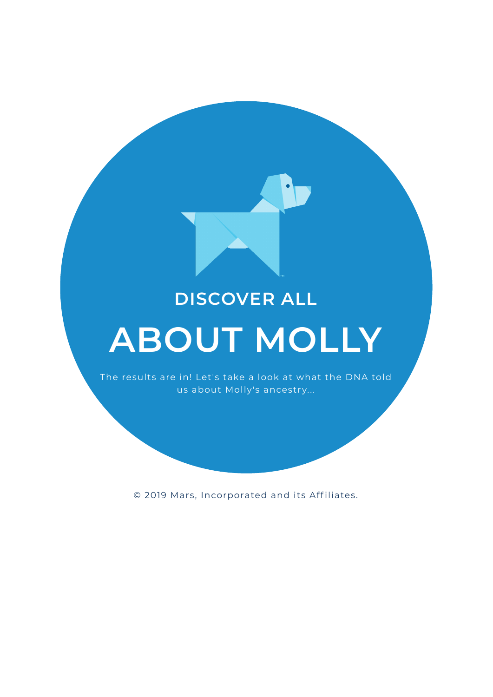## **DISCOVER ALL**

# **ABOUT MOLLY**

The results are in! Let's take a look at what the DNA told us about Molly's ancestry...

© 2019 Mars, Incorporated and its Aff iliates.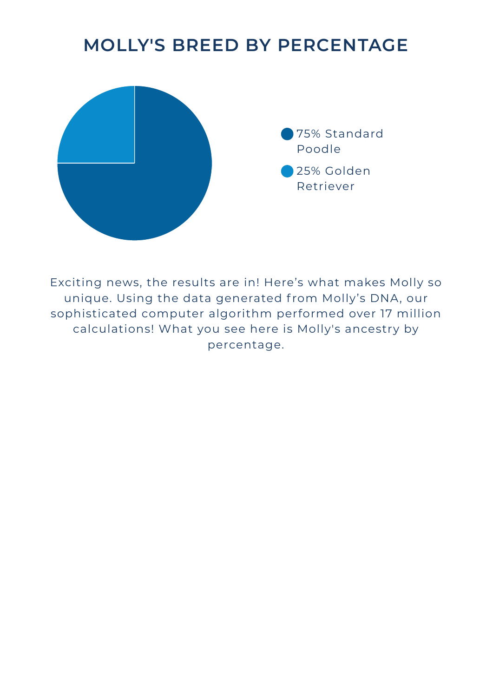## **MOLLY'S BREED BY PERCENTAGE**



Exciting news, the results are in! Here's what makes Molly so unique. Using the data generated from Molly's DNA, our sophisticated computer algorithm performed over 17 million calculations! What you see here is Molly's ancestry by percentage.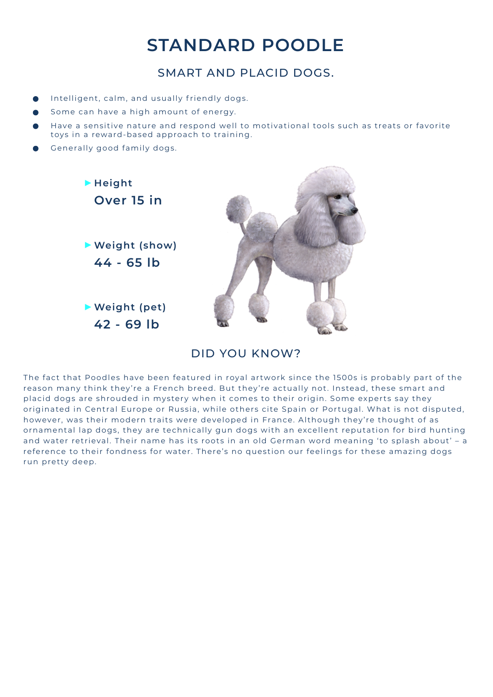## **STANDARD POODLE**

#### SMART AND PLACID DOGS.

- Intelligent, calm, and usually friendly dogs.
- Some can have a high amount of energy.
- Have a sensitive nature and respond well to motivational tools such as treats or favorite toys in a reward-based approach to training.
- Generally good family dogs.



#### DID YOU KNOW?

The fact that Poodles have been featured in royal artwork since the 1500s is probably part of the reason many think they're a French breed. But they're actually not. Instead, these smart and placid dogs are shrouded in mystery when it comes to their origin. Some experts say they originated in Central Europe or Russia, while others cite Spain or Portugal. What is not disputed, however, was their modern traits were developed in France. Although they're thought of as ornamental lap dogs, they are technically gun dogs with an excellent reputation for bird hunting and water retrieval. Their name has its roots in an old German word meaning 'to splash about' - a reference to their fondness for water. There's no question our feelings for these amazing dogs run pretty deep.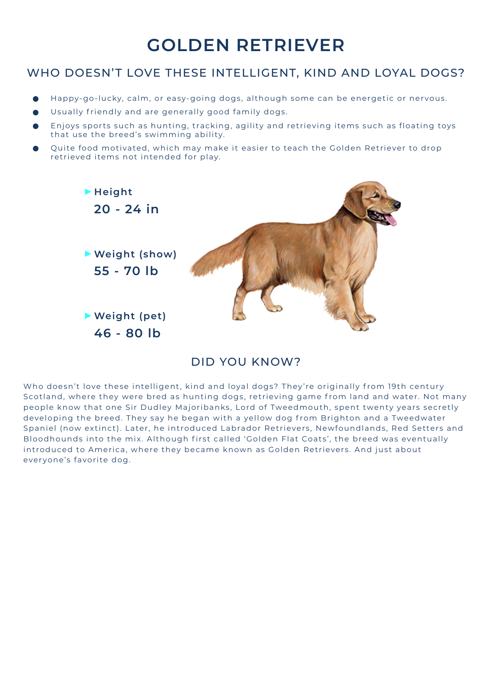## **GOLDEN RETRIEVER**

#### WHO DOESN'T LOVE THESE INTELLIGENT, KIND AND LOYAL DOGS?

- Happy-go-lucky, calm, or easy-going dogs, although some can be energetic or nervous.
- Usually friendly and are generally good family dogs.
- Enjoys sports such as hunting, tracking, agility and retrieving items such as floating toys that use the breed's swimming ability.
- Quite food motivated, which may make it easier to teach the Golden Retriever to drop retrieved items not intended for play.



#### DID YOU KNOW?

Who doesn't love these intelligent, kind and loyal dogs? They're originally from 19th century Scotland, where they were bred as hunting dogs, retrieving game from land and water. Not many people know that one Sir Dudley Majoribanks, Lord of Tweedmouth, spent twenty years secretly developing the breed. They say he began with a yellow dog from Brighton and a Tweedwater Spaniel (now extinct). Later, he introduced Labrador Retrievers, Newfoundlands, Red Setters and Bloodhounds into the mix. Although first called 'Golden Flat Coats', the breed was eventually introduced to America, where they became known as Golden Retrievers. And just about everyone's favorite dog.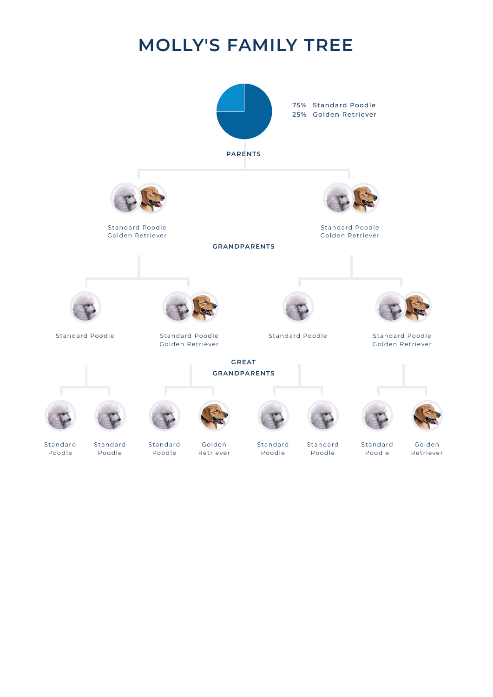## **MOLLY'S FAMILY TREE**

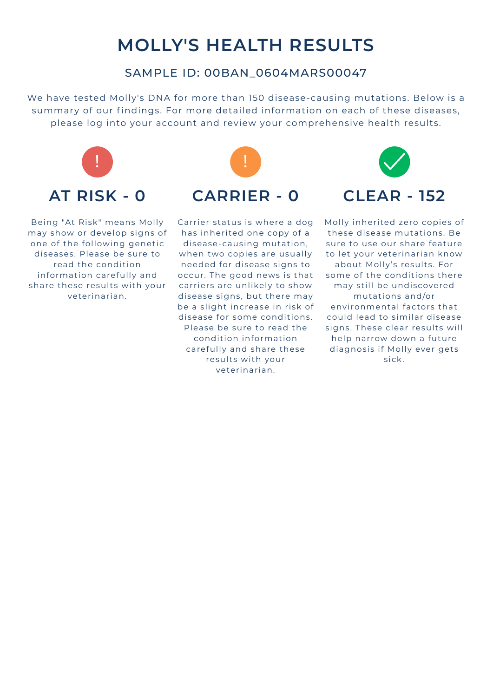## **MOLLY'S HEALTH RESULTS**

#### SAMPLE ID: 00BAN\_0604MARS00047

We have tested Molly's DNA for more than 150 disease-causing mutations. Below is a summary of our findings. For more detailed information on each of these diseases, please log into your account and review your comprehensive health results.



Being "At Risk" means Molly may show or develop signs of one of the following genetic diseases. Please be sure to read the condition information carefully and share these results with your veterinarian.



Carrier status is where a dog has inherited one copy of a disease-causing mutation, when two copies are usually needed for disease signs to occur. The good news is that carriers are unlikely to show disease signs, but there may be a slight increase in risk of disease for some conditions. Please be sure to read the condition information carefully and share these results with your veterinarian.



Molly inherited zero copies of these disease mutations. Be sure to use our share feature to let your veterinarian know about Molly's results. For some of the conditions there may still be undiscovered mutat ions and/or environmental factors that could lead to similar disease signs. These clear results will help narrow down a future diagnosis if Molly ever gets sick.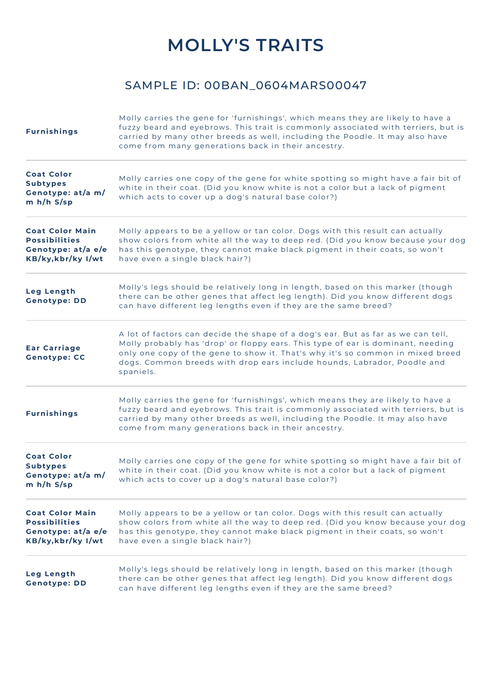## **MOLLY'S TRAITS**

#### SAMPLE ID: 00BAN\_0604MARS00047

| <b>Furnishings</b>                                                                         | Molly carries the gene for 'furnishings', which means they are likely to have a<br>fuzzy beard and eyebrows. This trait is commonly associated with terriers, but is<br>carried by many other breeds as well, including the Poodle. It may also have<br>come from many generations back in their ancestry.                                    |
|--------------------------------------------------------------------------------------------|-----------------------------------------------------------------------------------------------------------------------------------------------------------------------------------------------------------------------------------------------------------------------------------------------------------------------------------------------|
| <b>Coat Color</b><br><b>Subtypes</b><br>Genotype: at/a m/<br>m h/h S/sp                    | Molly carries one copy of the gene for white spotting so might have a fair bit of<br>white in their coat. (Did you know white is not a color but a lack of pigment<br>which acts to cover up a dog's natural base color?)                                                                                                                     |
| <b>Coat Color Main</b><br><b>Possibilities</b><br>Genotype: at/a e/e<br>KB/ky, kbr/ky I/wt | Molly appears to be a yellow or tan color. Dogs with this result can actually<br>show colors from white all the way to deep red. (Did you know because your dog<br>has this genotype, they cannot make black pigment in their coats, so won't<br>have even a single black hair?)                                                              |
| Leg Length<br><b>Genotype: DD</b>                                                          | Molly's legs should be relatively long in length, based on this marker (though<br>there can be other genes that affect leg length). Did you know different dogs<br>can have different leg lengths even if they are the same breed?                                                                                                            |
| <b>Ear Carriage</b><br><b>Genotype: CC</b>                                                 | A lot of factors can decide the shape of a dog's ear. But as far as we can tell,<br>Molly probably has 'drop' or floppy ears. This type of ear is dominant, needing<br>only one copy of the gene to show it. That's why it's so common in mixed breed<br>dogs. Common breeds with drop ears include hounds, Labrador, Poodle and<br>spaniels. |
| <b>Furnishings</b>                                                                         | Molly carries the gene for 'furnishings', which means they are likely to have a<br>fuzzy beard and eyebrows. This trait is commonly associated with terriers, but is<br>carried by many other breeds as well, including the Poodle. It may also have<br>come from many generations back in their ancestry.                                    |
| <b>Coat Color</b><br><b>Subtypes</b><br>Genotype: at/a m/<br>m h/h S/sp                    | Molly carries one copy of the gene for white spotting so might have a fair bit of<br>white in their coat. (Did you know white is not a color but a lack of pigment<br>which acts to cover up a dog's natural base color?)                                                                                                                     |
| <b>Coat Color Main</b><br><b>Possibilities</b><br>Genotype: at/a e/e<br>KB/ky, kbr/ky I/wt | Molly appears to be a yellow or tan color. Dogs with this result can actually<br>show colors from white all the way to deep red. (Did you know because your dog<br>has this genotype, they cannot make black pigment in their coats, so won't<br>have even a single black hair?)                                                              |
| Leg Length<br><b>Genotype: DD</b>                                                          | Molly's legs should be relatively long in length, based on this marker (though<br>there can be other genes that affect leg length). Did you know different dogs<br>can have different leg lengths even if they are the same breed?                                                                                                            |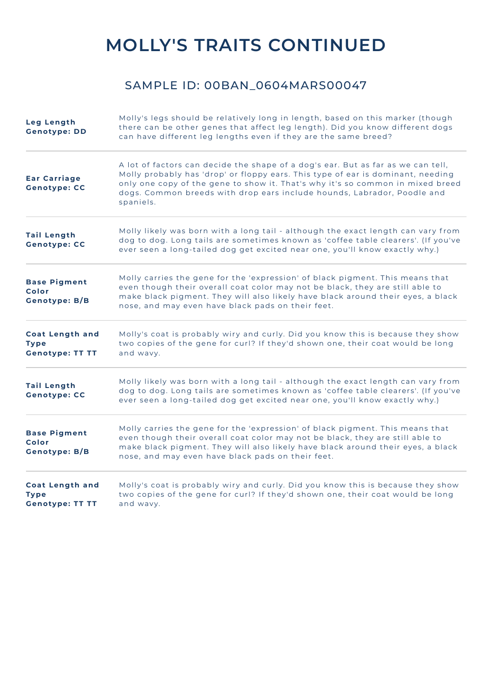## **MOLLY'S TRAITS CONTINUED**

#### SAMPLE ID: 00BAN\_0604MARS00047

| <b>Leg Length</b><br><b>Genotype: DD</b>                        | Molly's legs should be relatively long in length, based on this marker (though<br>there can be other genes that affect leg length). Did you know different dogs<br>can have different leg lengths even if they are the same breed?                                                                                                            |
|-----------------------------------------------------------------|-----------------------------------------------------------------------------------------------------------------------------------------------------------------------------------------------------------------------------------------------------------------------------------------------------------------------------------------------|
| <b>Ear Carriage</b><br><b>Genotype: CC</b>                      | A lot of factors can decide the shape of a dog's ear. But as far as we can tell,<br>Molly probably has 'drop' or floppy ears. This type of ear is dominant, needing<br>only one copy of the gene to show it. That's why it's so common in mixed breed<br>dogs. Common breeds with drop ears include hounds, Labrador, Poodle and<br>spaniels. |
| <b>Tail Length</b><br><b>Genotype: CC</b>                       | Molly likely was born with a long tail - although the exact length can vary from<br>dog to dog. Long tails are sometimes known as 'coffee table clearers'. (If you've<br>ever seen a long-tailed dog get excited near one, you'll know exactly why.)                                                                                          |
| <b>Base Pigment</b><br>Color<br><b>Genotype: B/B</b>            | Molly carries the gene for the 'expression' of black pigment. This means that<br>even though their overall coat color may not be black, they are still able to<br>make black pigment. They will also likely have black around their eyes, a black<br>nose, and may even have black pads on their feet.                                        |
| <b>Coat Length and</b><br><b>Type</b><br><b>Genotype: TT TT</b> | Molly's coat is probably wiry and curly. Did you know this is because they show<br>two copies of the gene for curl? If they'd shown one, their coat would be long<br>and wavy.                                                                                                                                                                |
| <b>Tail Length</b><br><b>Genotype: CC</b>                       | Molly likely was born with a long tail - although the exact length can vary from<br>dog to dog. Long tails are sometimes known as 'coffee table clearers'. (If you've<br>ever seen a long-tailed dog get excited near one, you'll know exactly why.)                                                                                          |
| <b>Base Pigment</b><br>Color<br><b>Genotype: B/B</b>            | Molly carries the gene for the 'expression' of black pigment. This means that<br>even though their overall coat color may not be black, they are still able to<br>make black pigment. They will also likely have black around their eyes, a black<br>nose, and may even have black pads on their feet.                                        |
| <b>Coat Length and</b><br><b>Type</b><br><b>Genotype: TT TT</b> | Molly's coat is probably wiry and curly. Did you know this is because they show<br>two copies of the gene for curl? If they'd shown one, their coat would be long<br>and wavy.                                                                                                                                                                |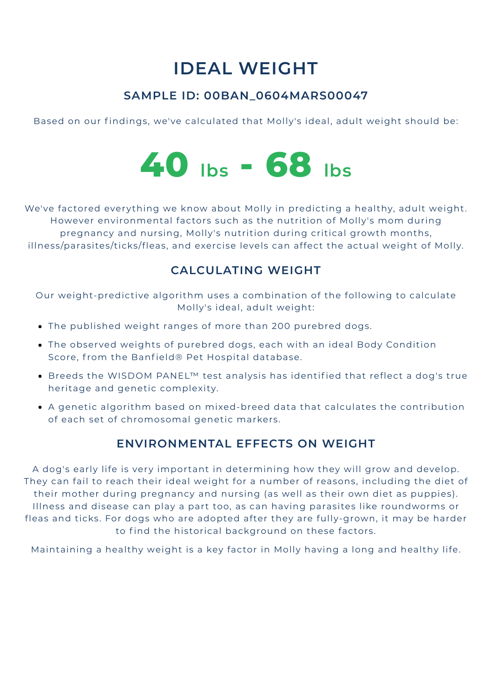## **IDEAL WEIGHT**

### **SAMPLE ID: 00BAN\_0604MARS00047**

Based on our findings, we've calculated that Molly's ideal, adult weight should be:



We've factored everything we know about Molly in predicting a healthy, adult weight. However environmental factors such as the nutrition of Molly's mom during pregnancy and nursing, Molly's nutrition during critical growth months, illness/parasites/ticks/fleas, and exercise levels can affect the actual weight of Molly.

#### **CALCULATING WEIGHT**

Our weight-predictive algorithm uses a combination of the following to calculate Molly's ideal, adult weight:

- The published weight ranges of more than 200 purebred dogs.
- The observed weights of purebred dogs, each with an ideal Body Condition Score, from the Banfield® Pet Hospital database.
- . Breeds the WISDOM PANEL<sup>™</sup> test analysis has identified that reflect a dog's true heritage and genetic complexity.
- A genetic algorithm based on mixed-breed data that calculates the contribution of each set of chromosomal genetic markers.

#### **ENVIRONMENTAL EFFECTS ON WEIGHT**

A dog's early life is very important in determining how they will grow and develop. They can fail to reach their ideal weight for a number of reasons, including the diet of their mother during pregnancy and nursing (as well as their own diet as puppies). Illness and disease can play a part too, as can having parasites like roundworms or fleas and ticks. For dogs who are adopted after they are fully-grown, it may be harder to find the historical background on these factors.

Maintaining a healthy weight is a key factor in Molly having a long and healthy life.